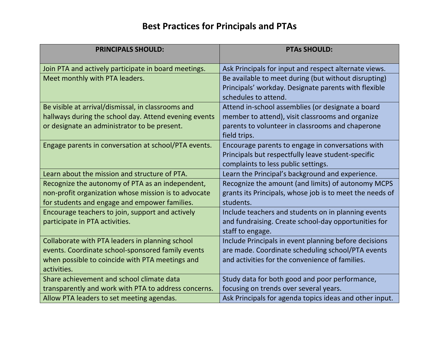## **Best Practices for Principals and PTAs**

| <b>PRINCIPALS SHOULD:</b>                             | <b>PTAs SHOULD:</b>                                      |
|-------------------------------------------------------|----------------------------------------------------------|
| Join PTA and actively participate in board meetings.  | Ask Principals for input and respect alternate views.    |
| Meet monthly with PTA leaders.                        | Be available to meet during (but without disrupting)     |
|                                                       | Principals' workday. Designate parents with flexible     |
|                                                       | schedules to attend.                                     |
| Be visible at arrival/dismissal, in classrooms and    | Attend in-school assemblies (or designate a board        |
| hallways during the school day. Attend evening events | member to attend), visit classrooms and organize         |
| or designate an administrator to be present.          | parents to volunteer in classrooms and chaperone         |
|                                                       | field trips.                                             |
| Engage parents in conversation at school/PTA events.  | Encourage parents to engage in conversations with        |
|                                                       | Principals but respectfully leave student-specific       |
|                                                       | complaints to less public settings.                      |
| Learn about the mission and structure of PTA.         | Learn the Principal's background and experience.         |
| Recognize the autonomy of PTA as an independent,      | Recognize the amount (and limits) of autonomy MCPS       |
| non-profit organization whose mission is to advocate  | grants its Principals, whose job is to meet the needs of |
| for students and engage and empower families.         | students.                                                |
| Encourage teachers to join, support and actively      | Include teachers and students on in planning events      |
| participate in PTA activities.                        | and fundraising. Create school-day opportunities for     |
|                                                       | staff to engage.                                         |
| Collaborate with PTA leaders in planning school       | Include Principals in event planning before decisions    |
| events. Coordinate school-sponsored family events     | are made. Coordinate scheduling school/PTA events        |
| when possible to coincide with PTA meetings and       | and activities for the convenience of families.          |
| activities.                                           |                                                          |
| Share achievement and school climate data             | Study data for both good and poor performance,           |
| transparently and work with PTA to address concerns.  | focusing on trends over several years.                   |
| Allow PTA leaders to set meeting agendas.             | Ask Principals for agenda topics ideas and other input.  |